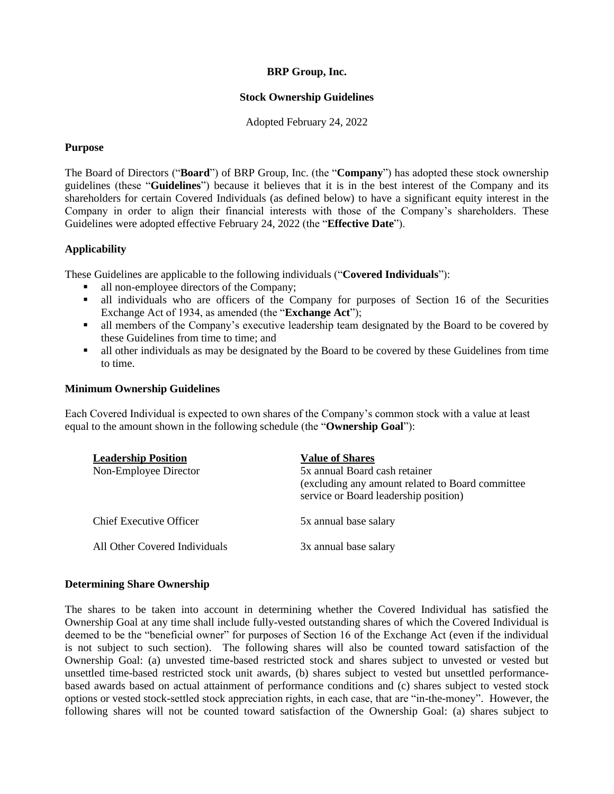# **BRP Group, Inc.**

# **Stock Ownership Guidelines**

Adopted February 24, 2022

## **Purpose**

The Board of Directors ("**Board**") of BRP Group, Inc. (the "**Company**") has adopted these stock ownership guidelines (these "**Guidelines**") because it believes that it is in the best interest of the Company and its shareholders for certain Covered Individuals (as defined below) to have a significant equity interest in the Company in order to align their financial interests with those of the Company's shareholders. These Guidelines were adopted effective February 24, 2022 (the "**Effective Date**").

# **Applicability**

These Guidelines are applicable to the following individuals ("**Covered Individuals**"):

- all non-employee directors of the Company;
- all individuals who are officers of the Company for purposes of Section 16 of the Securities Exchange Act of 1934, as amended (the "**Exchange Act**");
- In all members of the Company's executive leadership team designated by the Board to be covered by these Guidelines from time to time; and
- all other individuals as may be designated by the Board to be covered by these Guidelines from time to time.

#### **Minimum Ownership Guidelines**

Each Covered Individual is expected to own shares of the Company's common stock with a value at least equal to the amount shown in the following schedule (the "**Ownership Goal**"):

| <b>Leadership Position</b><br>Non-Employee Director | <b>Value of Shares</b><br>5x annual Board cash retainer<br>(excluding any amount related to Board committee)<br>service or Board leadership position) |
|-----------------------------------------------------|-------------------------------------------------------------------------------------------------------------------------------------------------------|
| Chief Executive Officer                             | 5x annual base salary                                                                                                                                 |
| All Other Covered Individuals                       | 3x annual base salary                                                                                                                                 |

# **Determining Share Ownership**

The shares to be taken into account in determining whether the Covered Individual has satisfied the Ownership Goal at any time shall include fully-vested outstanding shares of which the Covered Individual is deemed to be the "beneficial owner" for purposes of Section 16 of the Exchange Act (even if the individual is not subject to such section). The following shares will also be counted toward satisfaction of the Ownership Goal: (a) unvested time-based restricted stock and shares subject to unvested or vested but unsettled time-based restricted stock unit awards, (b) shares subject to vested but unsettled performancebased awards based on actual attainment of performance conditions and (c) shares subject to vested stock options or vested stock-settled stock appreciation rights, in each case, that are "in-the-money". However, the following shares will not be counted toward satisfaction of the Ownership Goal: (a) shares subject to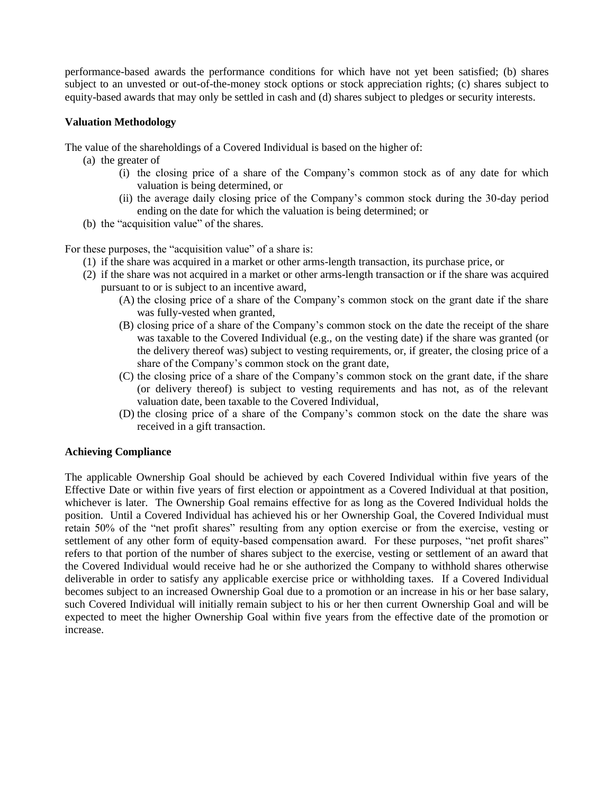performance-based awards the performance conditions for which have not yet been satisfied; (b) shares subject to an unvested or out-of-the-money stock options or stock appreciation rights; (c) shares subject to equity-based awards that may only be settled in cash and (d) shares subject to pledges or security interests.

## **Valuation Methodology**

The value of the shareholdings of a Covered Individual is based on the higher of:

- (a) the greater of
	- (i) the closing price of a share of the Company's common stock as of any date for which valuation is being determined, or
	- (ii) the average daily closing price of the Company's common stock during the 30-day period ending on the date for which the valuation is being determined; or
- (b) the "acquisition value" of the shares.

For these purposes, the "acquisition value" of a share is:

- (1) if the share was acquired in a market or other arms-length transaction, its purchase price, or
- (2) if the share was not acquired in a market or other arms-length transaction or if the share was acquired pursuant to or is subject to an incentive award,
	- (A) the closing price of a share of the Company's common stock on the grant date if the share was fully-vested when granted,
	- (B) closing price of a share of the Company's common stock on the date the receipt of the share was taxable to the Covered Individual (e.g., on the vesting date) if the share was granted (or the delivery thereof was) subject to vesting requirements, or, if greater, the closing price of a share of the Company's common stock on the grant date,
	- (C) the closing price of a share of the Company's common stock on the grant date, if the share (or delivery thereof) is subject to vesting requirements and has not, as of the relevant valuation date, been taxable to the Covered Individual,
	- (D) the closing price of a share of the Company's common stock on the date the share was received in a gift transaction.

# **Achieving Compliance**

The applicable Ownership Goal should be achieved by each Covered Individual within five years of the Effective Date or within five years of first election or appointment as a Covered Individual at that position, whichever is later. The Ownership Goal remains effective for as long as the Covered Individual holds the position. Until a Covered Individual has achieved his or her Ownership Goal, the Covered Individual must retain 50% of the "net profit shares" resulting from any option exercise or from the exercise, vesting or settlement of any other form of equity-based compensation award. For these purposes, "net profit shares" refers to that portion of the number of shares subject to the exercise, vesting or settlement of an award that the Covered Individual would receive had he or she authorized the Company to withhold shares otherwise deliverable in order to satisfy any applicable exercise price or withholding taxes. If a Covered Individual becomes subject to an increased Ownership Goal due to a promotion or an increase in his or her base salary, such Covered Individual will initially remain subject to his or her then current Ownership Goal and will be expected to meet the higher Ownership Goal within five years from the effective date of the promotion or increase.